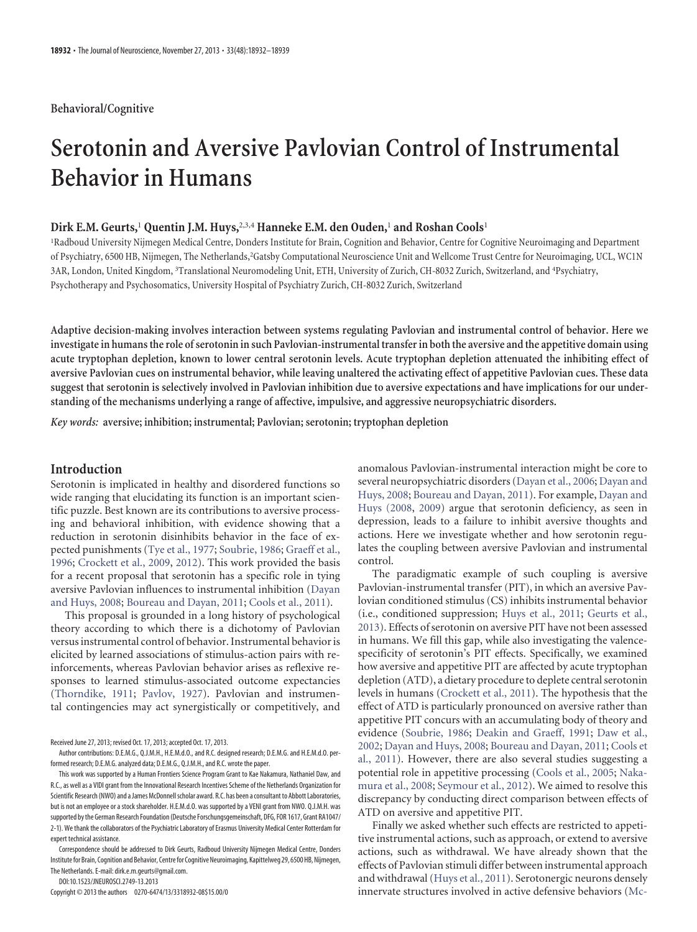## **Behavioral/Cognitive**

# **Serotonin and Aversive Pavlovian Control of Instrumental Behavior in Humans**

# **Dirk E.M. Geurts,**<sup>1</sup> **Quentin J.M. Huys,**2,3,4 **Hanneke E.M. den Ouden,**<sup>1</sup> **and Roshan Cools**<sup>1</sup>

1 Radboud University Nijmegen Medical Centre, Donders Institute for Brain, Cognition and Behavior, Centre for Cognitive Neuroimaging and Department of Psychiatry, 6500 HB, Nijmegen, The Netherlands,<sup>2</sup>Gatsby Computational Neuroscience Unit and Wellcome Trust Centre for Neuroimaging, UCL, WC1N 3AR, London, United Kingdom, <sup>3</sup> Translational Neuromodeling Unit, ETH, University of Zurich, CH-8032 Zurich, Switzerland, and <sup>4</sup> Psychiatry, Psychotherapy and Psychosomatics, University Hospital of Psychiatry Zurich, CH-8032 Zurich, Switzerland

**Adaptive decision-making involves interaction between systems regulating Pavlovian and instrumental control of behavior. Here we investigate in humans the role of serotonin in such Pavlovian-instrumental transfer in both the aversive and the appetitive domain using acute tryptophan depletion, known to lower central serotonin levels. Acute tryptophan depletion attenuated the inhibiting effect of aversive Pavlovian cues on instrumental behavior, while leaving unaltered the activating effect of appetitive Pavlovian cues. These data suggest that serotonin is selectively involved in Pavlovian inhibition due to aversive expectations and have implications for our understanding of the mechanisms underlying a range of affective, impulsive, and aggressive neuropsychiatric disorders.**

*Key words:* **aversive; inhibition; instrumental; Pavlovian; serotonin; tryptophan depletion**

# **Introduction**

Serotonin is implicated in healthy and disordered functions so wide ranging that elucidating its function is an important scientific puzzle. Best known are its contributions to aversive processing and behavioral inhibition, with evidence showing that a reduction in serotonin disinhibits behavior in the face of expected punishments [\(Tye et al., 1977;](#page-7-0) [Soubrie, 1986;](#page-7-1) [Graeff et al.,](#page-6-0) [1996;](#page-6-0) [Crockett et al., 2009,](#page-6-1) [2012\)](#page-6-2). This work provided the basis for a recent proposal that serotonin has a specific role in tying aversive Pavlovian influences to instrumental inhibition [\(Dayan](#page-6-3) [and Huys, 2008;](#page-6-3) [Boureau and Dayan, 2011;](#page-6-4) [Cools et al., 2011\)](#page-6-5).

This proposal is grounded in a long history of psychological theory according to which there is a dichotomy of Pavlovian versus instrumental control of behavior. Instrumental behavior is elicited by learned associations of stimulus-action pairs with reinforcements, whereas Pavlovian behavior arises as reflexive responses to learned stimulus-associated outcome expectancies [\(Thorndike, 1911;](#page-7-2) [Pavlov, 1927\)](#page-7-3). Pavlovian and instrumental contingencies may act synergistically or competitively, and

Received June 27, 2013; revised Oct. 17, 2013; accepted Oct. 17, 2013.

DOI:10.1523/JNEUROSCI.2749-13.2013

Copyright © 2013 the authors 0270-6474/13/3318932-08\$15.00/0

anomalous Pavlovian-instrumental interaction might be core to several neuropsychiatric disorders [\(Dayan et al., 2006;](#page-6-6) [Dayan and](#page-6-3) [Huys, 2008;](#page-6-3) [Boureau and Dayan, 2011\)](#page-6-4). For example, [Dayan and](#page-6-3) [Huys \(2008,](#page-6-3) [2009\)](#page-6-7) argue that serotonin deficiency, as seen in depression, leads to a failure to inhibit aversive thoughts and actions. Here we investigate whether and how serotonin regulates the coupling between aversive Pavlovian and instrumental control.

The paradigmatic example of such coupling is aversive Pavlovian-instrumental transfer (PIT), in which an aversive Pavlovian conditioned stimulus (CS) inhibits instrumental behavior (i.e., conditioned suppression; [Huys et al., 2011;](#page-6-8) [Geurts et al.,](#page-6-9) [2013\)](#page-6-9). Effects of serotonin on aversive PIT have not been assessed in humans. We fill this gap, while also investigating the valencespecificity of serotonin's PIT effects. Specifically, we examined how aversive and appetitive PIT are affected by acute tryptophan depletion (ATD), a dietary procedure to deplete central serotonin levels in humans [\(Crockett et al., 2011\)](#page-6-10). The hypothesis that the effect of ATD is particularly pronounced on aversive rather than appetitive PIT concurs with an accumulating body of theory and evidence [\(Soubrie, 1986;](#page-7-1) [Deakin and Graeff, 1991;](#page-6-11) [Daw et al.,](#page-6-12) [2002;](#page-6-12) [Dayan and Huys, 2008;](#page-6-3) [Boureau and Dayan, 2011;](#page-6-4) [Cools et](#page-6-5) [al., 2011\)](#page-6-5). However, there are also several studies suggesting a potential role in appetitive processing [\(Cools et al., 2005;](#page-6-13) [Naka](#page-7-4)[mura et al., 2008;](#page-7-4) [Seymour et al., 2012\)](#page-7-5). We aimed to resolve this discrepancy by conducting direct comparison between effects of ATD on aversive and appetitive PIT.

Finally we asked whether such effects are restricted to appetitive instrumental actions, such as approach, or extend to aversive actions, such as withdrawal. We have already shown that the effects of Pavlovian stimuli differ between instrumental approach and withdrawal [\(Huys et al., 2011\)](#page-6-8). Serotonergic neurons densely innervate structures involved in active defensive behaviors [\(Mc-](#page-7-6)

Author contributions: D.E.M.G., Q.J.M.H., H.E.M.d.O., and R.C. designed research; D.E.M.G. and H.E.M.d.O. performed research; D.E.M.G. analyzed data; D.E.M.G., Q.J.M.H., and R.C. wrote the paper.

This work was supported by a Human Frontiers Science Program Grant to Kae Nakamura, Nathaniel Daw, and R.C., as well as a VIDI grant from the Innovational Research Incentives Scheme of the Netherlands Organization for Scientific Research (NWO) and a James McDonnell scholar award. R.C. has been a consultant to Abbott Laboratories, but is not an employee or a stock shareholder. H.E.M.d.O. was supported by a VENI grant from NWO. Q.J.M.H. was supported by the German Research Foundation (Deutsche Forschungsgemeinschaft, DFG, FOR 1617, Grant RA1047/ 2-1). We thank the collaborators of the Psychiatric Laboratory of Erasmus University Medical Center Rotterdam for expert technical assistance.

Correspondence should be addressed to Dirk Geurts, Radboud University Nijmegen Medical Centre, Donders Institute for Brain, Cognition and Behavior, Centre for Cognitive Neuroimaging, Kapittelweg 29, 6500 HB, Nijmegen, The Netherlands. E-mail: dirk.e.m.geurts@gmail.com.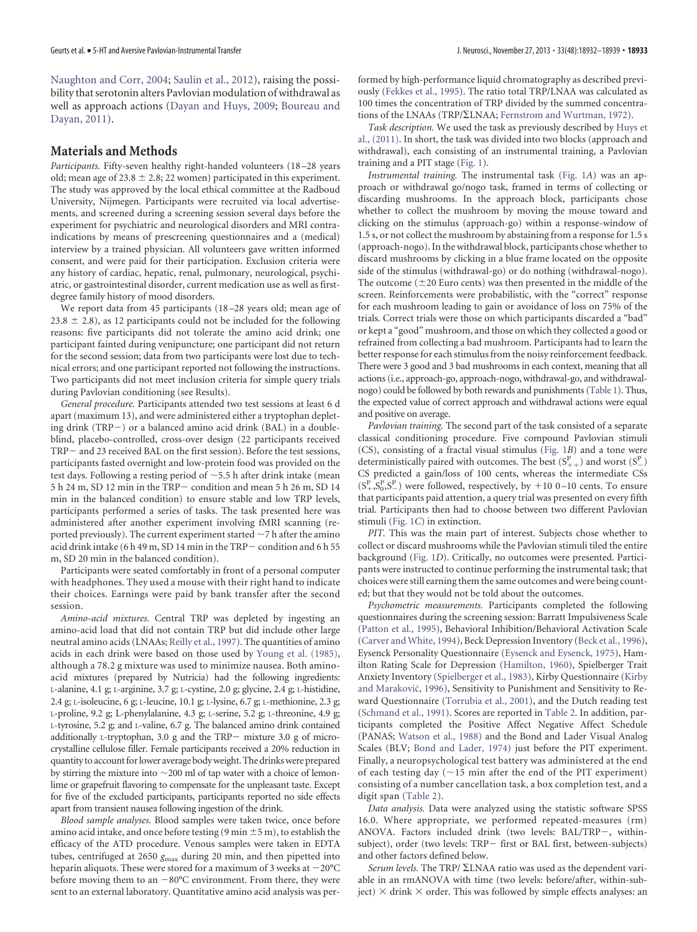[Naughton and Corr, 2004;](#page-7-6) [Saulin et al., 2012\)](#page-7-7), raising the possibility that serotonin alters Pavlovian modulation of withdrawal as well as approach actions [\(Dayan and Huys, 2009;](#page-6-7) [Boureau and](#page-6-4) [Dayan, 2011\)](#page-6-4).

## **Materials and Methods**

Participants. Fifty-seven healthy right-handed volunteers (18-28 years old; mean age of 23.8  $\pm$  2.8; 22 women) participated in this experiment. The study was approved by the local ethical committee at the Radboud University, Nijmegen. Participants were recruited via local advertisements, and screened during a screening session several days before the experiment for psychiatric and neurological disorders and MRI contraindications by means of prescreening questionnaires and a (medical) interview by a trained physician. All volunteers gave written informed consent, and were paid for their participation. Exclusion criteria were any history of cardiac, hepatic, renal, pulmonary, neurological, psychiatric, or gastrointestinal disorder, current medication use as well as firstdegree family history of mood disorders.

We report data from 45 participants (18 –28 years old; mean age of  $23.8 \pm 2.8$ ), as 12 participants could not be included for the following reasons: five participants did not tolerate the amino acid drink; one participant fainted during venipuncture; one participant did not return for the second session; data from two participants were lost due to technical errors; and one participant reported not following the instructions. Two participants did not meet inclusion criteria for simple query trials during Pavlovian conditioning (see Results).

*General procedure.* Participants attended two test sessions at least 6 d apart (maximum 13), and were administered either a tryptophan depleting drink  $(TRP-)$  or a balanced amino acid drink (BAL) in a doubleblind, placebo-controlled, cross-over design (22 participants received TRP- and 23 received BAL on the first session). Before the test sessions, participants fasted overnight and low-protein food was provided on the test days. Following a resting period of  $\sim$  5.5 h after drink intake (mean 5 h 24 m, SD 12 min in the TRP condition and mean 5 h 26 m, SD 14 min in the balanced condition) to ensure stable and low TRP levels, participants performed a series of tasks. The task presented here was administered after another experiment involving fMRI scanning (reported previously). The current experiment started  $\sim$  7 h after the amino acid drink intake (6 h 49 m, SD 14 min in the TRP - condition and 6 h 55 m, SD 20 min in the balanced condition).

Participants were seated comfortably in front of a personal computer with headphones. They used a mouse with their right hand to indicate their choices. Earnings were paid by bank transfer after the second session.

*Amino-acid mixtures.* Central TRP was depleted by ingesting an amino-acid load that did not contain TRP but did include other large neutral amino acids (LNAAs; [Reilly et al., 1997\)](#page-7-8). The quantities of amino acids in each drink were based on those used by [Young et al. \(1985\),](#page-7-9) although a 78.2 g mixture was used to minimize nausea. Both aminoacid mixtures (prepared by Nutricia) had the following ingredients: L-alanine, 4.1 g; L-arginine, 3.7 g; L-cystine, 2.0 g; glycine, 2.4 g; L-histidine, 2.4 g; L-isoleucine, 6 g; L-leucine, 10.1 g; L-lysine, 6.7 g; L-methionine, 2.3 g; L-proline, 9.2 g; L-phenylalanine, 4.3 g; L-serine, 5.2 g; L-threonine, 4.9 g; L-tyrosine, 5.2 g; and L-valine, 6.7 g. The balanced amino drink contained additionally L-tryptophan, 3.0 g and the TRP- mixture 3.0 g of microcrystalline cellulose filler. Female participants received a 20% reduction in quantity to account for lower average body weight. The drinks were prepared by stirring the mixture into  $\sim$  200 ml of tap water with a choice of lemonlime or grapefruit flavoring to compensate for the unpleasant taste. Except for five of the excluded participants, participants reported no side effects apart from transient nausea following ingestion of the drink.

*Blood sample analyses.* Blood samples were taken twice, once before amino acid intake, and once before testing (9 min  $\pm$  5 m), to establish the efficacy of the ATD procedure. Venous samples were taken in EDTA tubes, centrifuged at 2650  $g_{\text{max}}$  during 20 min, and then pipetted into heparin aliquots. These were stored for a maximum of 3 weeks at  $-20^{\circ}$ C before moving them to an  $-80^{\circ}$ C environment. From there, they were sent to an external laboratory. Quantitative amino acid analysis was performed by high-performance liquid chromatography as described previously [\(Fekkes et al., 1995\)](#page-6-14). The ratio total TRP/LNAA was calculated as 100 times the concentration of TRP divided by the summed concentrations of the LNAAs (TRP/ $\Sigma$ LNAA; [Fernstrom and Wurtman, 1972\)](#page-6-15).

*Task description.* We used the task as previously described by [Huys et](#page-6-8) [al., \(2011\).](#page-6-8) In short, the task was divided into two blocks (approach and withdrawal), each consisting of an instrumental training, a Pavlovian training and a PIT stage [\(Fig. 1\)](#page-2-0).

*Instrumental training.* The instrumental task [\(Fig. 1](#page-2-0)*A*) was an approach or withdrawal go/nogo task, framed in terms of collecting or discarding mushrooms. In the approach block, participants chose whether to collect the mushroom by moving the mouse toward and clicking on the stimulus (approach-go) within a response-window of 1.5 s, or not collect the mushroom by abstaining from a response for 1.5 s (approach-nogo). In the withdrawal block, participants chose whether to discard mushrooms by clicking in a blue frame located on the opposite side of the stimulus (withdrawal-go) or do nothing (withdrawal-nogo). The outcome  $(\pm 20$  Euro cents) was then presented in the middle of the screen. Reinforcements were probabilistic, with the "correct" response for each mushroom leading to gain or avoidance of loss on 75% of the trials. Correct trials were those on which participants discarded a "bad" or kept a "good" mushroom, and those on which they collected a good or refrained from collecting a bad mushroom. Participants had to learn the better response for each stimulus from the noisy reinforcement feedback. There were 3 good and 3 bad mushrooms in each context, meaning that all actions (i.e., approach-go, approach-nogo, withdrawal-go, and withdrawalnogo) could be followed by both rewards and punishments [\(Table 1\)](#page-2-1). Thus, the expected value of correct approach and withdrawal actions were equal and positive on average.

*Pavlovian training.* The second part of the task consisted of a separate classical conditioning procedure. Five compound Pavlovian stimuli (CS), consisting of a fractal visual stimulus [\(Fig. 1](#page-2-0)*B*) and a tone were deterministically paired with outcomes. The best  $(S^{P}_{++})$  and worst  $(S^{P}_{-})$ CS predicted a gain/loss of 100 cents, whereas the intermediate CSs  $(S_{+}^{P}, S_{0}^{P}, S_{-}^{P})$  were followed, respectively, by +10 0-10 cents. To ensure that participants paid attention, a query trial was presented on every fifth trial. Participants then had to choose between two different Pavlovian stimuli [\(Fig. 1](#page-2-0)*C*) in extinction.

*PIT.* This was the main part of interest. Subjects chose whether to collect or discard mushrooms while the Pavlovian stimuli tiled the entire background [\(Fig. 1](#page-2-0)*D*). Critically, no outcomes were presented. Participants were instructed to continue performing the instrumental task; that choices were still earning them the same outcomes and were being counted; but that they would not be told about the outcomes.

*Psychometric measurements.* Participants completed the following questionnaires during the screening session: Barratt Impulsiveness Scale [\(Patton et al., 1995\)](#page-7-10), Behavioral Inhibition/Behavioral Activation Scale [\(Carver and White, 1994\)](#page-6-16), Beck Depression Inventory [\(Beck et al., 1996\)](#page-6-17), Eysenck Personality Questionnaire [\(Eysenck and Eysenck, 1975\)](#page-6-18), Hamilton Rating Scale for Depression [\(Hamilton, 1960\)](#page-6-19), Spielberger Trait Anxiety Inventory [\(Spielberger et al., 1983\)](#page-7-11), Kirby Questionnaire [\(Kirby](#page-7-12) and Maraković, 1996), Sensitivity to Punishment and Sensitivity to Reward Questionnaire [\(Torrubia et al., 2001\)](#page-7-13), and the Dutch reading test [\(Schmand et al., 1991\)](#page-7-14). Scores are reported in [Table 2.](#page-2-2) In addition, participants completed the Positive Affect Negative Affect Schedule (PANAS; [Watson et al., 1988\)](#page-7-15) and the Bond and Lader Visual Analog Scales (BLV; [Bond and Lader, 1974\)](#page-6-20) just before the PIT experiment. Finally, a neuropsychological test battery was administered at the end of each testing day  $(\sim 15$  min after the end of the PIT experiment) consisting of a number cancellation task, a box completion test, and a digit span [\(Table 2\)](#page-2-2).

*Data analysis.* Data were analyzed using the statistic software SPSS 16.0. Where appropriate, we performed repeated-measures (rm) ANOVA. Factors included drink (two levels: BAL/TRP-, withinsubject), order (two levels: TRP- first or BAL first, between-subjects) and other factors defined below.

Serum levels. The TRP/  $\Sigma$ LNAA ratio was used as the dependent variable in an rmANOVA with time (two levels: before/after, within-subject)  $\times$  drink  $\times$  order. This was followed by simple effects analyses: an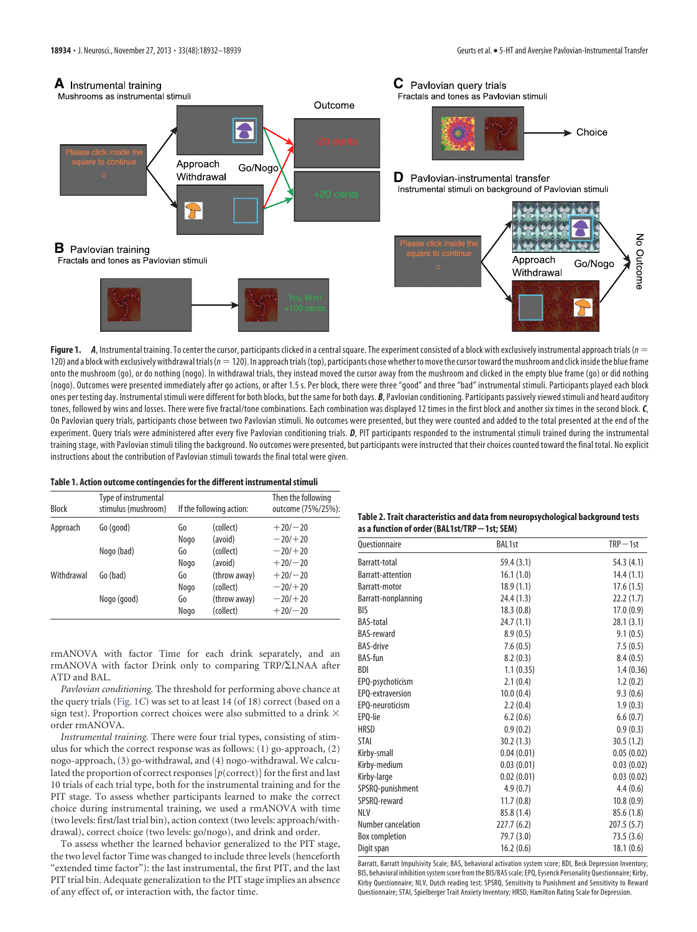

<span id="page-2-0"></span>Figure 1. *A*, Instrumental training. To center the cursor, participants clicked in a central square. The experiment consisted of a block with exclusively instrumental approach trials ( $n = 1$ 120) and a block with exclusively withdrawal trials ( $n=120$ ). In approach trials (top), participants chose whether to move the cursor toward the mushroom and click inside the blue frame onto the mushroom (go), or do nothing (nogo). In withdrawal trials, they instead moved the cursor away from the mushroom and clicked in the empty blue frame (go) or did nothing (nogo). Outcomes were presented immediately after go actions, or after 1.5 s. Per block, there were three "good" and three "bad" instrumental stimuli. Participants played each block ones per testing day. Instrumental stimuli were different for both blocks, but the same for both days. *B*, Pavlovian conditioning. Participants passively viewed stimuli and heard auditory tones, followed by wins and losses. There were five fractal/tone combinations. Each combination was displayed 12 times in the first block and another six times in the second block. *C*, On Pavlovian query trials, participants chose between two Pavlovian stimuli. No outcomes were presented, but they were counted and added to the total presented at the end of the experiment. Query trials were administered after every five Pavlovian conditioning trials. *D*, PIT participants responded to the instrumental stimuli trained during the instrumental training stage, with Pavlovian stimuli tiling the background. No outcomes were presented, but participants were instructed that their choices counted toward the final total. No explicit instructions about the contribution of Pavlovian stimuli towards the final total were given.

#### <span id="page-2-1"></span>**Table 1. Action outcome contingencies for the different instrumental stimuli**

| <b>Block</b> | Type of instrumental<br>stimulus (mushroom) |      | If the following action: | Then the following<br>outcome (75%/25%): |  |
|--------------|---------------------------------------------|------|--------------------------|------------------------------------------|--|
| Approach     | Go (good)                                   | Go   | (collect)                | $+20/ - 20$                              |  |
|              |                                             | Nogo | (avoid)                  | $-20/+20$                                |  |
|              | Nogo (bad)                                  | Go   | (collect)                | $-20/+20$                                |  |
|              |                                             | Nogo | (avoid)                  | $+20/ - 20$                              |  |
| Withdrawal   | Go (bad)                                    | Go   | (throw away)             | $+20/ - 20$                              |  |
|              |                                             | Nogo | (collect)                | $-20/+20$                                |  |
|              | Nogo (good)                                 | Go   | (throw away)             | $-20/+20$                                |  |
|              |                                             | Nogo | (collect)                | $+20/ - 20$                              |  |

rmANOVA with factor Time for each drink separately, and an  $r$ mANOVA with factor Drink only to comparing TRP/ $\Sigma$ LNAA after ATD and BAL.

*Pavlovian conditioning.* The threshold for performing above chance at the query trials [\(Fig. 1](#page-2-0)*C*) was set to at least 14 (of 18) correct (based on a sign test). Proportion correct choices were also submitted to a drink  $\times$ order rmANOVA.

*Instrumental training.* There were four trial types, consisting of stimulus for which the correct response was as follows: (1) go-approach, (2) nogo-approach, (3) go-withdrawal, and (4) nogo-withdrawal. We calculated the proportion of correct responses [*p*(correct)] for the first and last 10 trials of each trial type, both for the instrumental training and for the PIT stage. To assess whether participants learned to make the correct choice during instrumental training, we used a rmANOVA with time (two levels: first/last trial bin), action context (two levels: approach/withdrawal), correct choice (two levels: go/nogo), and drink and order.

To assess whether the learned behavior generalized to the PIT stage, the two level factor Time was changed to include three levels (henceforth "extended time factor"): the last instrumental, the first PIT, and the last PIT trial bin. Adequate generalization to the PIT stage implies an absence of any effect of, or interaction with, the factor time.

<span id="page-2-2"></span>**Table 2. Trait characteristics and data from neuropsychological background tests as a function of order (BAL1st/TRP**-**1st; SEM)**

| <b>Ouestionnaire</b>     | <b>BAL1st</b> | $TRP-1st$   |  |
|--------------------------|---------------|-------------|--|
| Barratt-total            | 59.4 (3.1)    | 54.3 (4.1)  |  |
| <b>Barratt-attention</b> | 16.1(1.0)     | 14.4(1.1)   |  |
| Barratt-motor            | 18.9(1.1)     | 17.6(1.5)   |  |
| Barratt-nonplanning      | 24.4 (1.3)    | 22.2(1.7)   |  |
| <b>BIS</b>               | 18.3(0.8)     | 17.0(0.9)   |  |
| <b>BAS-total</b>         | 24.7(1.1)     | 28.1(3.1)   |  |
| <b>BAS-reward</b>        | 8.9(0.5)      | 9.1(0.5)    |  |
| <b>BAS-drive</b>         | 7.6(0.5)      | 7.5(0.5)    |  |
| <b>BAS-fun</b>           | 8.2(0.3)      | 8.4(0.5)    |  |
| <b>BDI</b>               | 1.1(0.35)     | 1.4(0.36)   |  |
| EPQ-psychoticism         | 2.1(0.4)      | 1.2(0.2)    |  |
| EPO-extraversion         | 10.0(0.4)     | 9.3(0.6)    |  |
| EPQ-neuroticism          | 2.2(0.4)      | 1.9(0.3)    |  |
| EPO-lie                  | 6.2(0.6)      | 6.6(0.7)    |  |
| <b>HRSD</b>              | 0.9(0.2)      | 0.9(0.3)    |  |
| <b>STAI</b>              | 30.2(1.3)     | 30.5(1.2)   |  |
| Kirby-small              | 0.04(0.01)    | 0.05(0.02)  |  |
| Kirby-medium             | 0.03(0.01)    | 0.03(0.02)  |  |
| Kirby-large              | 0.02(0.01)    | 0.03(0.02)  |  |
| SPSRQ-punishment         | 4.9(0.7)      | 4.4(0.6)    |  |
| SPSRO-reward             | 11.7(0.8)     | 10.8(0.9)   |  |
| <b>NLV</b>               | 85.8 (1.4)    | 85.6 (1.8)  |  |
| Number cancelation       | 227.7 (6.2)   | 207.5 (5.7) |  |
| Box completion           | 79.7 (3.0)    | 73.5 (3.6)  |  |
| Digit span               | 16.2(0.6)     | 18.1(0.6)   |  |

Barratt, Barratt Impulsivity Scale; BAS, behavioral activation system score; BDI, Beck Depression Inventory; BIS, behavioral inhibition system score from the BIS/BAS scale; EPQ, Eysenck Personality Questionnaire; Kirby, Kirby Questionnaire; NLV, Dutch reading test; SPSRQ, Sensitivity to Punishment and Sensitivity to Reward Questionnaire; STAI, Spielberger Trait Anxiety Inventory; HRSD, Hamilton Rating Scale for Depression.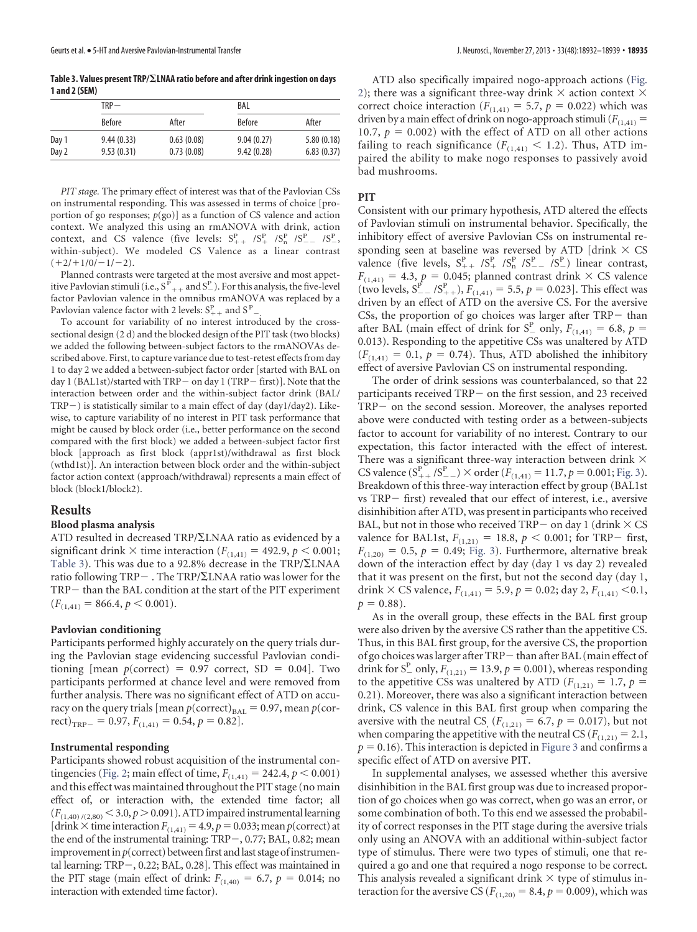<span id="page-3-0"></span>**Table 3. Values present TRP/LNAA ratio before and after drink ingestion on days 1 and 2 (SEM)**

|       | $TRP -$       |            | BAL           |            |  |
|-------|---------------|------------|---------------|------------|--|
|       | <b>Before</b> | After      | <b>Before</b> | After      |  |
| Day 1 | 9.44(0.33)    | 0.63(0.08) | 9.04(0.27)    | 5.80(0.18) |  |
| Day 2 | 9.53(0.31)    | 0.73(0.08) | 9.42(0.28)    | 6.83(0.37) |  |

*PIT stage.* The primary effect of interest was that of the Pavlovian CSs on instrumental responding. This was assessed in terms of choice [proportion of go responses; *p*(go)] as a function of CS valence and action context. We analyzed this using an rmANOVA with drink, action context, and CS valence (five levels:  $S_{++}^P$  / $S_{+}^P$  / $S_{-}^P$  / $S_{--}^P$  / $S_{-}^P$ , within-subject). We modeled CS Valence as a linear contrast  $(+2/+1/0/-1/-2).$ 

Planned contrasts were targeted at the most aversive and most appetitive Pavlovian stimuli (i.e.,  $S_{++}^{\vec{P}}$  and  $S_{-}^{\text{P}}$ ). For this analysis, the five-level factor Pavlovian valence in the omnibus rmANOVA was replaced by a Pavlovian valence factor with 2 levels:  $S^P_{++}$  and  $S^P_{--}$ .

To account for variability of no interest introduced by the crosssectional design (2 d) and the blocked design of the PIT task (two blocks) we added the following between-subject factors to the rmANOVAs described above. First, to capture variance due to test-retest effects from day 1 to day 2 we added a between-subject factor order [started with BAL on day 1 (BAL1st)/started with TRP- on day 1 (TRP-first)]. Note that the interaction between order and the within-subject factor drink (BAL/  $TRP$  ) is statistically similar to a main effect of day (day1/day2). Likewise, to capture variability of no interest in PIT task performance that might be caused by block order (i.e., better performance on the second compared with the first block) we added a between-subject factor first block [approach as first block (appr1st)/withdrawal as first block (wthd1st)]. An interaction between block order and the within-subject factor action context (approach/withdrawal) represents a main effect of block (block1/block2).

# **Results**

#### **Blood plasma analysis**

ATD resulted in decreased TRP/ $\Sigma$ LNAA ratio as evidenced by a significant drink  $\times$  time interaction ( $F$ <sub>(1,41)</sub> = 492.9,  $p$  < 0.001; [Table 3\)](#page-3-0). This was due to a 92.8% decrease in the  $TRP/\Sigma LNAA$ ratio following  $TRP -$ . The  $TRP/\Sigma LNAA$  ratio was lower for the TRP- than the BAL condition at the start of the PIT experiment  $(F_{(1,41)} = 866.4, p < 0.001).$ 

### **Pavlovian conditioning**

Participants performed highly accurately on the query trials during the Pavlovian stage evidencing successful Pavlovian conditioning [mean  $p(correct) = 0.97$  correct, SD = 0.04]. Two participants performed at chance level and were removed from further analysis. There was no significant effect of ATD on accuracy on the query trials [mean  $p(\text{correct})_{\text{BAL}} = 0.97$ , mean  $p(\text{cor-}$ rect)<sub>TRP</sub> = 0.97,  $F_{(1,41)} = 0.54$ ,  $p = 0.82$ ].

#### **Instrumental responding**

Participants showed robust acquisition of the instrumental con-tingencies [\(Fig. 2;](#page-4-0) main effect of time,  $F_{(1,41)} = 242.4, p \le 0.001$ ) and this effect was maintained throughout the PIT stage (no main effect of, or interaction with, the extended time factor; all  $(F_{(1,40)/(2,80)}$  < 3.0,  $p$  > 0.091). ATD impaired instrumental learning [drink  $\times$  time interaction  $F_{(1,41)} = 4.9$ ,  $p = 0.033$ ; mean  $p$ (correct) at the end of the instrumental training:  $TRP-, 0.77; BAL, 0.82;$  mean improvement in  $p$ (correct) between first and last stage of instrumental learning: TRP-, 0.22; BAL, 0.28]. This effect was maintained in the PIT stage (main effect of drink:  $F_{(1,40)} = 6.7$ ,  $p = 0.014$ ; no interaction with extended time factor).

ATD also specifically impaired nogo-approach actions [\(Fig.](#page-4-0) [2\)](#page-4-0); there was a significant three-way drink  $\times$  action context  $\times$ correct choice interaction ( $F_{(1,41)} = 5.7$ ,  $p = 0.022$ ) which was driven by a main effect of drink on nogo-approach stimuli  $(F<sub>(1,41)</sub> =$ 10.7,  $p = 0.002$ ) with the effect of ATD on all other actions failing to reach significance  $(F_{(1,41)} \leq 1.2)$ . Thus, ATD impaired the ability to make nogo responses to passively avoid bad mushrooms.

#### **PIT**

Consistent with our primary hypothesis, ATD altered the effects of Pavlovian stimuli on instrumental behavior. Specifically, the inhibitory effect of aversive Pavlovian CSs on instrumental responding seen at baseline was reversed by ATD [drink  $\times$  CS valence (five levels,  $S_{++}^P$  / $S_{+}^P$  / $S_{-}^P$  / $S_{--}^P$  / $S_{-}^P$ ) linear contrast,  $F_{(1,41)} = 4.3$ ,  $p = 0.045$ ; planned contrast drink  $\times$  CS valence (two levels,  $S_{-}^{\vec{P}}$  /S<sup>*P*</sup><sub>++</sub>),  $F_{(1,41)}$  = 5.5, *p* = 0.023]. This effect was driven by an effect of ATD on the aversive CS. For the aversive CSs, the proportion of go choices was larger after  $TRP-$  than after BAL (main effect of drink for  $S_{-}^{P}$  only,  $F_{(1,41)} = 6.8$ ,  $p =$ 0.013). Responding to the appetitive CSs was unaltered by ATD  $(F<sub>(1,41)</sub> = 0.1, p = 0.74)$ . Thus, ATD abolished the inhibitory effect of aversive Pavlovian CS on instrumental responding.

The order of drink sessions was counterbalanced, so that 22 participants received TRP- on the first session, and 23 received TRP- on the second session. Moreover, the analyses reported above were conducted with testing order as a between-subjects factor to account for variability of no interest. Contrary to our expectation, this factor interacted with the effect of interest. There was a significant three-way interaction between drink  $\times$ CS valence  $(S_{++}^{\text{P}}/S_{--}^{\text{P}}) \times \text{order } (F_{(1,41)} = 11.7, p = 0.001; \text{Fig. 3}).$ Breakdown of this three-way interaction effect by group (BAL1st  $vs$  TRP $-$  first) revealed that our effect of interest, i.e., aversive disinhibition after ATD, was present in participants who received BAL, but not in those who received TRP  $-$  on day 1 (drink  $\times$  CS valence for BAL1st,  $F_{(1,21)} = 18.8$ ,  $p < 0.001$ ; for TRP- first,  $F_{(1,20)} = 0.5$ ,  $p = 0.49$ ; [Fig. 3\)](#page-4-1). Furthermore, alternative break down of the interaction effect by day (day 1 vs day 2) revealed that it was present on the first, but not the second day (day 1, drink  $\times$  CS valence,  $F_{(1,41)} = 5.9$ ,  $p = 0.02$ ; day 2,  $F_{(1,41)} < 0.1$ ,  $p = 0.88$ .

As in the overall group, these effects in the BAL first group were also driven by the aversive CS rather than the appetitive CS. Thus, in this BAL first group, for the aversive CS, the proportion of go choices was larger after TRP - than after BAL (main effect of drink for  $S_{-}^{P}$  only,  $F_{(1,21)} = 13.9, p = 0.001$ ), whereas responding to the appetitive CSs was unaltered by ATD ( $F_{(1,21)} = 1.7$ ,  $p =$ 0.21). Moreover, there was also a significant interaction between drink, CS valence in this BAL first group when comparing the aversive with the neutral CS<sub>,</sub>  $(F_{(1,21)} = 6.7, p = 0.017)$ , but not when comparing the appetitive with the neutral CS ( $F_{(1,21)} = 2.1$ ,  $p = 0.16$ ). This interaction is depicted in [Figure 3](#page-4-1) and confirms a specific effect of ATD on aversive PIT.

In supplemental analyses, we assessed whether this aversive disinhibition in the BAL first group was due to increased proportion of go choices when go was correct, when go was an error, or some combination of both. To this end we assessed the probability of correct responses in the PIT stage during the aversive trials only using an ANOVA with an additional within-subject factor type of stimulus. There were two types of stimuli, one that required a go and one that required a nogo response to be correct. This analysis revealed a significant drink  $\times$  type of stimulus interaction for the aversive CS ( $F_{(1,20)} = 8.4$ ,  $p = 0.009$ ), which was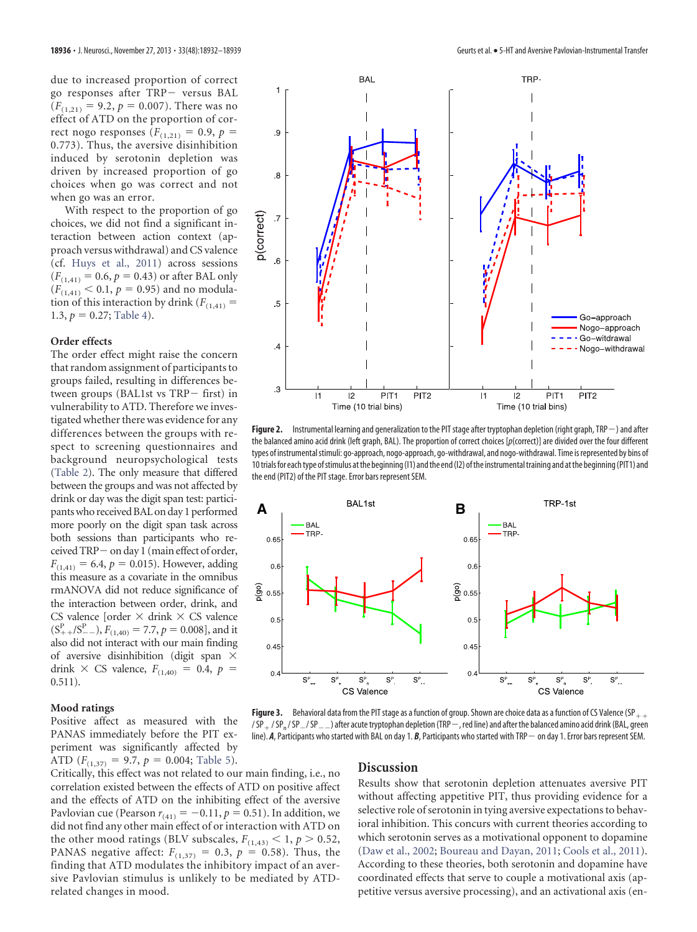due to increased proportion of correct go responses after TRP- versus BAL  $(F<sub>(1,21)</sub> = 9.2, p = 0.007)$ . There was no effect of ATD on the proportion of correct nogo responses ( $F_{(1,21)} = 0.9$ ,  $p =$ 0.773). Thus, the aversive disinhibition induced by serotonin depletion was driven by increased proportion of go choices when go was correct and not when go was an error.

With respect to the proportion of go choices, we did not find a significant interaction between action context (approach versus withdrawal) and CS valence (cf. [Huys et al., 2011\)](#page-6-8) across sessions  $(F_{(1,41)} = 0.6, p = 0.43)$  or after BAL only  $(F_{(1,41)} < 0.1, p = 0.95)$  and no modulation of this interaction by drink  $(F_{(1,41)} =$ 1.3,  $p = 0.27$ ; [Table 4\)](#page-5-0).

### **Order effects**

The order effect might raise the concern that random assignment of participants to groups failed, resulting in differences between groups (BAL1st vs  $TRP$  first) in vulnerability to ATD. Therefore we investigated whether there was evidence for any differences between the groups with respect to screening questionnaires and background neuropsychological tests [\(Table 2\)](#page-2-2). The only measure that differed between the groups and was not affected by drink or day was the digit span test: participantswho received BAL on day 1 performed more poorly on the digit span task across both sessions than participants who received TRP- on day 1 (main effect of order,  $F_{(1,41)} = 6.4, p = 0.015$ . However, adding this measure as a covariate in the omnibus rmANOVA did not reduce significance of the interaction between order, drink, and CS valence [order  $\times$  drink  $\times$  CS valence  $(S_{++}^P/S_{--}^P), F_{(1,40)} = 7.7, p = 0.008$ , and it also did not interact with our main finding of aversive disinhibition (digit span  $\times$ drink  $\times$  CS valence,  $F_{(1,40)} = 0.4$ ,  $p =$  $0.511$ ).

### **Mood ratings**

Positive affect as measured with the PANAS immediately before the PIT experiment was significantly affected by ATD  $(F_{(1,37)} = 9.7, p = 0.004;$  [Table 5\)](#page-5-1).

Critically, this effect was not related to our main finding, i.e., no correlation existed between the effects of ATD on positive affect and the effects of ATD on the inhibiting effect of the aversive Pavlovian cue (Pearson  $r_{(41)} = -0.11$ ,  $p = 0.51$ ). In addition, we did not find any other main effect of or interaction with ATD on the other mood ratings (BLV subscales,  $F_{(1,43)} < 1$ ,  $p > 0.52$ , PANAS negative affect:  $F_{(1,37)} = 0.3$ ,  $p = 0.58$ ). Thus, the finding that ATD modulates the inhibitory impact of an aversive Pavlovian stimulus is unlikely to be mediated by ATDrelated changes in mood.



<span id="page-4-0"></span>Figure 2. Instrumental learning and generalization to the PIT stage after tryptophan depletion (right graph, TRP-) and after the balanced amino acid drink (left graph, BAL). The proportion of correct choices [*p*(correct)] are divided over the four different types of instrumentalstimuli: go-approach, nogo-approach, go-withdrawal, and nogo-withdrawal. Time isrepresented by bins of 10trialsfor eachtype ofstimulus atthe beginning(I1) andthe end(I2) ofthe instrumentaltraining and atthe beginning(PIT1) and the end (PIT2) of the PIT stage. Error bars represent SEM.



<span id="page-4-1"></span>**Figure 3.** Behavioral data from the PIT stage as a function of group. Shown are choice data as a function of CS Valence (SP $_{++}$  $/SP_{+}/SP_{-}/SP_{-}/SP_{-}$  after acute tryptophan depletion (TRP - red line) and after the balanced amino acid drink (BAL, green line). A, Participants who started with BAL on day 1. B, Participants who started with TRP  $-$  on day 1. Error bars represent SEM.

#### **Discussion**

Results show that serotonin depletion attenuates aversive PIT without affecting appetitive PIT, thus providing evidence for a selective role of serotonin in tying aversive expectations to behavioral inhibition. This concurs with current theories according to which serotonin serves as a motivational opponent to dopamine [\(Daw et al., 2002;](#page-6-12) [Boureau and Dayan, 2011;](#page-6-4) [Cools et al., 2011\)](#page-6-5). According to these theories, both serotonin and dopamine have coordinated effects that serve to couple a motivational axis (appetitive versus aversive processing), and an activational axis (en-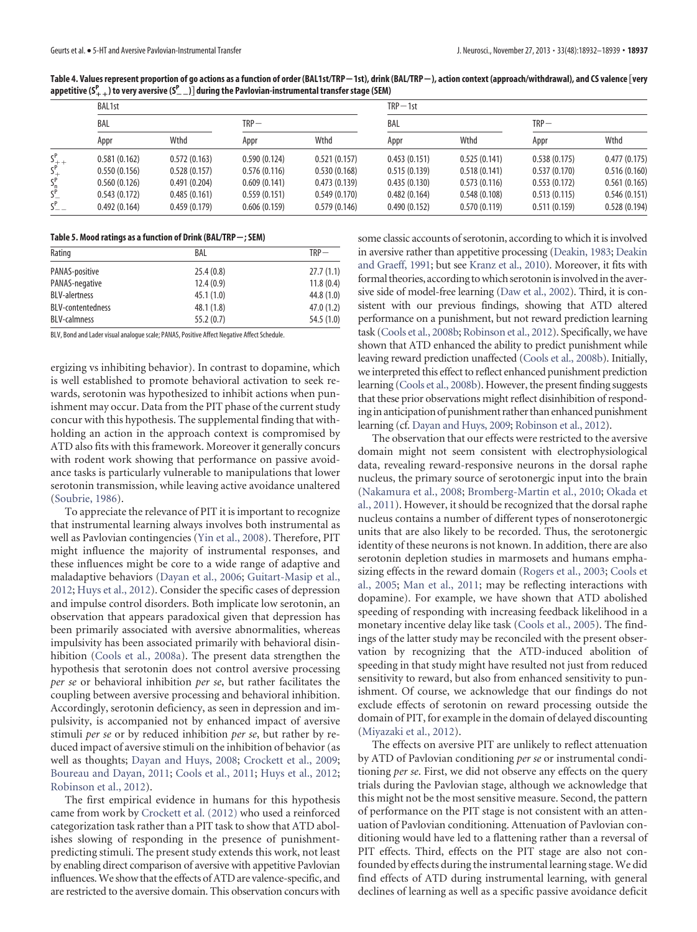<span id="page-5-0"></span>Table 4. Values represent proportion of go actions as a function of order (BAL1st/TRP—1st), drink (BAL/TRP—), action context (approach/withdrawal), and CS valence [very **appetitive (S <sup>P</sup> ) to very aversive (S**--**<sup>P</sup> ) during the Pavlovian-instrumental transfer stage (SEM)**

|                            | <b>BAL1st</b> |              |              | $TRP-1st$    |              |              |              |              |
|----------------------------|---------------|--------------|--------------|--------------|--------------|--------------|--------------|--------------|
|                            | BAL           |              | $TRP-$       |              | BAL          |              | $TRP -$      |              |
|                            | Appr          | Wthd         | Appr         | Wthd         | Appr         | Wthd         | Appr         | Wthd         |
| $S^P_{++}$                 | 0.581(0.162)  | 0.572(0.163) | 0.590(0.124) | 0.521(0.157) | 0.453(0.151) | 0.525(0.141) | 0.538(0.175) | 0.477(0.175) |
| $S^P_+$                    | 0.550(0.156)  | 0.528(0.157) | 0.576(0.116) | 0.530(0.168) | 0.515(0.139) | 0.518(0.141) | 0.537(0.170) | 0.516(0.160) |
| $S_{p}^{P}$<br>$S_{-}^{P}$ | 0.560(0.126)  | 0.491(0.204) | 0.609(0.141) | 0.473(0.139) | 0.435(0.130) | 0.573(0.116) | 0.553(0.172) | 0.561(0.165) |
|                            | 0.543(0.172)  | 0.485(0.161) | 0.559(0.151) | 0.549(0.170) | 0.482(0.164) | 0.548(0.108) | 0.513(0.115) | 0.546(0.151) |
| $S_{--}^P$                 | 0.492(0.164)  | 0.459(0.179) | 0.606(0.159) | 0.579(0.146) | 0.490(0.152) | 0.570(0.119) | 0.511(0.159) | 0.528(0.194) |

#### <span id="page-5-1"></span>**Table 5. Mood ratings as a function of Drink (BAL/TRP**-**; SEM)**

| Rating                   | BAL       | $TRP -$    |  |
|--------------------------|-----------|------------|--|
| PANAS-positive           | 25.4(0.8) | 27.7(1.1)  |  |
| PANAS-negative           | 12.4(0.9) | 11.8(0.4)  |  |
| <b>BLV-alertness</b>     | 45.1(1.0) | 44.8(1.0)  |  |
| <b>BLV-contentedness</b> | 48.1(1.8) | 47.0(1.2)  |  |
| <b>BLV-calmness</b>      | 55.2(0.7) | 54.5 (1.0) |  |

BLV, Bond and Lader visual analogue scale; PANAS, Positive Affect Negative Affect Schedule.

ergizing vs inhibiting behavior). In contrast to dopamine, which is well established to promote behavioral activation to seek rewards, serotonin was hypothesized to inhibit actions when punishment may occur. Data from the PIT phase of the current study concur with this hypothesis. The supplemental finding that withholding an action in the approach context is compromised by ATD also fits with this framework. Moreover it generally concurs with rodent work showing that performance on passive avoidance tasks is particularly vulnerable to manipulations that lower serotonin transmission, while leaving active avoidance unaltered [\(Soubrie, 1986\)](#page-7-1).

To appreciate the relevance of PIT it is important to recognize that instrumental learning always involves both instrumental as well as Pavlovian contingencies [\(Yin et al., 2008\)](#page-7-16). Therefore, PIT might influence the majority of instrumental responses, and these influences might be core to a wide range of adaptive and maladaptive behaviors [\(Dayan et al., 2006;](#page-6-6) [Guitart-Masip et al.,](#page-6-21) [2012;](#page-6-21) [Huys et al., 2012\)](#page-7-17). Consider the specific cases of depression and impulse control disorders. Both implicate low serotonin, an observation that appears paradoxical given that depression has been primarily associated with aversive abnormalities, whereas impulsivity has been associated primarily with behavioral disinhibition [\(Cools et al., 2008a\)](#page-6-22). The present data strengthen the hypothesis that serotonin does not control aversive processing *per se* or behavioral inhibition *per se*, but rather facilitates the coupling between aversive processing and behavioral inhibition. Accordingly, serotonin deficiency, as seen in depression and impulsivity, is accompanied not by enhanced impact of aversive stimuli *per se* or by reduced inhibition *per se*, but rather by reduced impact of aversive stimuli on the inhibition of behavior (as well as thoughts; [Dayan and Huys, 2008;](#page-6-3) [Crockett et al., 2009;](#page-6-1) [Boureau and Dayan, 2011;](#page-6-4) [Cools et al., 2011;](#page-6-5) [Huys et al., 2012;](#page-7-17) [Robinson et al., 2012\)](#page-7-18).

The first empirical evidence in humans for this hypothesis came from work by [Crockett et al. \(2012\)](#page-6-2) who used a reinforced categorization task rather than a PIT task to show that ATD abolishes slowing of responding in the presence of punishmentpredicting stimuli. The present study extends this work, not least by enabling direct comparison of aversive with appetitive Pavlovian influences.We show that the effects of ATD are valence-specific, and are restricted to the aversive domain. This observation concurs with some classic accounts of serotonin, according to which it is involved in aversive rather than appetitive processing [\(Deakin, 1983;](#page-6-23) [Deakin](#page-6-11) [and Graeff, 1991;](#page-6-11) but see [Kranz et al., 2010\)](#page-7-19). Moreover, it fits with formal theories, according to which serotonin is involved in the aversive side of model-free learning [\(Daw et al., 2002\)](#page-6-12). Third, it is consistent with our previous findings, showing that ATD altered performance on a punishment, but not reward prediction learning task [\(Cools et al., 2008b;](#page-6-24) [Robinson et al., 2012\)](#page-7-18). Specifically, we have shown that ATD enhanced the ability to predict punishment while leaving reward prediction unaffected [\(Cools et al., 2008b\)](#page-6-24). Initially, we interpreted this effect to reflect enhanced punishment prediction learning [\(Cools et al., 2008b\)](#page-6-24). However, the present finding suggests that these prior observations might reflect disinhibition of responding in anticipation of punishment rather than enhanced punishment learning (cf. [Dayan and Huys, 2009;](#page-6-7) [Robinson et al., 2012\)](#page-7-18).

The observation that our effects were restricted to the aversive domain might not seem consistent with electrophysiological data, revealing reward-responsive neurons in the dorsal raphe nucleus, the primary source of serotonergic input into the brain [\(Nakamura et al., 2008;](#page-7-4) [Bromberg-Martin et al., 2010;](#page-6-25) [Okada et](#page-7-20) [al., 2011\)](#page-7-20). However, it should be recognized that the dorsal raphe nucleus contains a number of different types of nonserotonergic units that are also likely to be recorded. Thus, the serotonergic identity of these neurons is not known. In addition, there are also serotonin depletion studies in marmosets and humans emphasizing effects in the reward domain [\(Rogers et al., 2003;](#page-7-21) [Cools et](#page-6-13) [al., 2005;](#page-6-13) [Man et al., 2011;](#page-7-22) may be reflecting interactions with dopamine). For example, we have shown that ATD abolished speeding of responding with increasing feedback likelihood in a monetary incentive delay like task [\(Cools et al., 2005\)](#page-6-13). The findings of the latter study may be reconciled with the present observation by recognizing that the ATD-induced abolition of speeding in that study might have resulted not just from reduced sensitivity to reward, but also from enhanced sensitivity to punishment. Of course, we acknowledge that our findings do not exclude effects of serotonin on reward processing outside the domain of PIT, for example in the domain of delayed discounting [\(Miyazaki et al., 2012\)](#page-7-23).

The effects on aversive PIT are unlikely to reflect attenuation by ATD of Pavlovian conditioning *per se* or instrumental conditioning *per se*. First, we did not observe any effects on the query trials during the Pavlovian stage, although we acknowledge that this might not be the most sensitive measure. Second, the pattern of performance on the PIT stage is not consistent with an attenuation of Pavlovian conditioning. Attenuation of Pavlovian conditioning would have led to a flattening rather than a reversal of PIT effects. Third, effects on the PIT stage are also not confounded by effects during the instrumental learning stage.We did find effects of ATD during instrumental learning, with general declines of learning as well as a specific passive avoidance deficit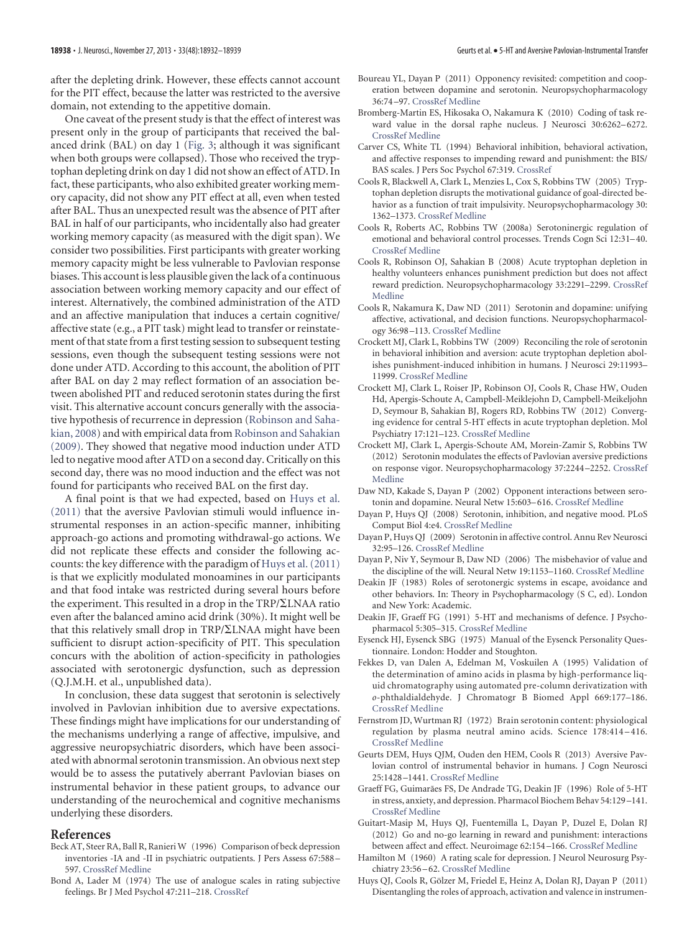after the depleting drink. However, these effects cannot account for the PIT effect, because the latter was restricted to the aversive domain, not extending to the appetitive domain.

One caveat of the present study is that the effect of interest was present only in the group of participants that received the balanced drink (BAL) on day 1 [\(Fig. 3;](#page-4-1) although it was significant when both groups were collapsed). Those who received the tryptophan depleting drink on day 1 did not show an effect of ATD. In fact, these participants, who also exhibited greater working memory capacity, did not show any PIT effect at all, even when tested after BAL. Thus an unexpected result was the absence of PIT after BAL in half of our participants, who incidentally also had greater working memory capacity (as measured with the digit span). We consider two possibilities. First participants with greater working memory capacity might be less vulnerable to Pavlovian response biases. This account is less plausible given the lack of a continuous association between working memory capacity and our effect of interest. Alternatively, the combined administration of the ATD and an affective manipulation that induces a certain cognitive/ affective state (e.g., a PIT task) might lead to transfer or reinstatement of that state from a first testing session to subsequent testing sessions, even though the subsequent testing sessions were not done under ATD. According to this account, the abolition of PIT after BAL on day 2 may reflect formation of an association between abolished PIT and reduced serotonin states during the first visit. This alternative account concurs generally with the associative hypothesis of recurrence in depression [\(Robinson and Saha](#page-7-24)[kian, 2008\)](#page-7-24) and with empirical data from [Robinson and Sahakian](#page-7-25) [\(2009\).](#page-7-25) They showed that negative mood induction under ATD led to negative mood after ATD on a second day. Critically on this second day, there was no mood induction and the effect was not found for participants who received BAL on the first day.

A final point is that we had expected, based on [Huys et al.](#page-6-8) [\(2011\)](#page-6-8) that the aversive Pavlovian stimuli would influence instrumental responses in an action-specific manner, inhibiting approach-go actions and promoting withdrawal-go actions. We did not replicate these effects and consider the following accounts: the key difference with the paradigm of [Huys et al. \(2011\)](#page-6-8) is that we explicitly modulated monoamines in our participants and that food intake was restricted during several hours before the experiment. This resulted in a drop in the  $TRP/\Sigma LNAA$  ratio even after the balanced amino acid drink (30%). It might well be that this relatively small drop in  $TRP/\Sigma LNAA$  might have been sufficient to disrupt action-specificity of PIT. This speculation concurs with the abolition of action-specificity in pathologies associated with serotonergic dysfunction, such as depression (Q.J.M.H. et al., unpublished data).

In conclusion, these data suggest that serotonin is selectively involved in Pavlovian inhibition due to aversive expectations. These findings might have implications for our understanding of the mechanisms underlying a range of affective, impulsive, and aggressive neuropsychiatric disorders, which have been associated with abnormal serotonin transmission. An obvious next step would be to assess the putatively aberrant Pavlovian biases on instrumental behavior in these patient groups, to advance our understanding of the neurochemical and cognitive mechanisms underlying these disorders.

#### <span id="page-6-17"></span>**References**

- Beck AT, Steer RA, Ball R, Ranieri W (1996) Comparison of beck depression inventories -IA and -II in psychiatric outpatients. J Pers Assess 67:588 – 597. [CrossRef](http://dx.doi.org/10.1207/s15327752jpa6703_13) [Medline](http://www.ncbi.nlm.nih.gov/pubmed/8991972)
- <span id="page-6-20"></span>Bond A, Lader M (1974) The use of analogue scales in rating subjective feelings. Br J Med Psychol 47:211–218. [CrossRef](http://dx.doi.org/10.1111/j.2044-8341.1974.tb02285.x)
- <span id="page-6-4"></span>Boureau YL, Dayan P (2011) Opponency revisited: competition and cooperation between dopamine and serotonin. Neuropsychopharmacology 36:74 –97. [CrossRef](http://dx.doi.org/10.1038/npp.2010.151) [Medline](http://www.ncbi.nlm.nih.gov/pubmed/20881948)
- <span id="page-6-25"></span>Bromberg-Martin ES, Hikosaka O, Nakamura K (2010) Coding of task reward value in the dorsal raphe nucleus. J Neurosci 30:6262–6272. [CrossRef](http://dx.doi.org/10.1523/JNEUROSCI.0015-10.2010) [Medline](http://www.ncbi.nlm.nih.gov/pubmed/20445052)
- <span id="page-6-16"></span>Carver CS, White TL (1994) Behavioral inhibition, behavioral activation, and affective responses to impending reward and punishment: the BIS/ BAS scales. J Pers Soc Psychol 67:319. [CrossRef](http://dx.doi.org/10.1037/0022-3514.67.2.319)
- <span id="page-6-13"></span>Cools R, Blackwell A, Clark L, Menzies L, Cox S, Robbins TW (2005) Tryptophan depletion disrupts the motivational guidance of goal-directed behavior as a function of trait impulsivity. Neuropsychopharmacology 30: 1362–1373. [CrossRef](http://dx.doi.org/10.1038/sj.npp.1300704) [Medline](http://www.ncbi.nlm.nih.gov/pubmed/15770237)
- <span id="page-6-22"></span>Cools R, Roberts AC, Robbins TW (2008a) Serotoninergic regulation of emotional and behavioral control processes. Trends Cogn Sci 12:31–40. [CrossRef](http://dx.doi.org/10.1016/j.tics.2007.10.011) [Medline](http://www.ncbi.nlm.nih.gov/pubmed/18069045)
- <span id="page-6-24"></span>Cools R, Robinson OJ, Sahakian B (2008) Acute tryptophan depletion in healthy volunteers enhances punishment prediction but does not affect reward prediction. Neuropsychopharmacology 33:2291–2299. [CrossRef](http://dx.doi.org/10.1038/sj.npp.1301598) [Medline](http://www.ncbi.nlm.nih.gov/pubmed/17940553)
- <span id="page-6-5"></span>Cools R, Nakamura K, Daw ND (2011) Serotonin and dopamine: unifying affective, activational, and decision functions. Neuropsychopharmacology 36:98 –113. [CrossRef](http://dx.doi.org/10.1038/npp.2010.121) [Medline](http://www.ncbi.nlm.nih.gov/pubmed/20736991)
- <span id="page-6-1"></span>Crockett MJ, Clark L, Robbins TW (2009) Reconciling the role of serotonin in behavioral inhibition and aversion: acute tryptophan depletion abolishes punishment-induced inhibition in humans. J Neurosci 29:11993– 11999. [CrossRef](http://dx.doi.org/10.1523/JNEUROSCI.2513-09.2009) [Medline](http://www.ncbi.nlm.nih.gov/pubmed/19776285)
- <span id="page-6-10"></span>Crockett MJ, Clark L, Roiser JP, Robinson OJ, Cools R, Chase HW, Ouden Hd, Apergis-Schoute A, Campbell-Meiklejohn D, Campbell-Meikeljohn D, Seymour B, Sahakian BJ, Rogers RD, Robbins TW (2012) Converging evidence for central 5-HT effects in acute tryptophan depletion. Mol Psychiatry 17:121–123. [CrossRef](http://dx.doi.org/10.1038/mp.2011.106) [Medline](http://www.ncbi.nlm.nih.gov/pubmed/21876544)
- <span id="page-6-2"></span>Crockett MJ, Clark L, Apergis-Schoute AM, Morein-Zamir S, Robbins TW (2012) Serotonin modulates the effects of Pavlovian aversive predictions on response vigor. Neuropsychopharmacology 37:2244 –2252. [CrossRef](http://dx.doi.org/10.1038/npp.2012.75) [Medline](http://www.ncbi.nlm.nih.gov/pubmed/22643930)
- <span id="page-6-12"></span>Daw ND, Kakade S, Dayan P (2002) Opponent interactions between serotonin and dopamine. Neural Netw 15:603–616. [CrossRef](http://dx.doi.org/10.1016/S0893-6080(02)00052-7) [Medline](http://www.ncbi.nlm.nih.gov/pubmed/12371515)
- <span id="page-6-3"></span>Dayan P, Huys QJ (2008) Serotonin, inhibition, and negative mood. PLoS Comput Biol 4:e4. [CrossRef](http://dx.doi.org/10.1371/journal.pcbi.0040004) [Medline](http://www.ncbi.nlm.nih.gov/pubmed/18248087)
- <span id="page-6-7"></span>Dayan P, Huys QJ (2009) Serotonin in affective control. Annu Rev Neurosci 32:95–126. [CrossRef](http://dx.doi.org/10.1146/annurev.neuro.051508.135607) [Medline](http://www.ncbi.nlm.nih.gov/pubmed/19400722)
- <span id="page-6-6"></span>Dayan P, Niv Y, Seymour B, Daw ND (2006) The misbehavior of value and the discipline of the will. Neural Netw 19:1153–1160. [CrossRef](http://dx.doi.org/10.1016/j.neunet.2006.03.002) [Medline](http://www.ncbi.nlm.nih.gov/pubmed/16938432)
- <span id="page-6-23"></span>Deakin JF (1983) Roles of serotonergic systems in escape, avoidance and other behaviors. In: Theory in Psychopharmacology (S C, ed). London and New York: Academic.
- <span id="page-6-11"></span>Deakin JF, Graeff FG (1991) 5-HT and mechanisms of defence. J Psychopharmacol 5:305–315. [CrossRef](http://dx.doi.org/10.1177/026988119100500414) [Medline](http://www.ncbi.nlm.nih.gov/pubmed/22282829)
- <span id="page-6-18"></span>Eysenck HJ, Eysenck SBG (1975) Manual of the Eysenck Personality Questionnaire. London: Hodder and Stoughton.
- <span id="page-6-14"></span>Fekkes D, van Dalen A, Edelman M, Voskuilen A (1995) Validation of the determination of amino acids in plasma by high-performance liquid chromatography using automated pre-column derivatization with *o-*phthaldialdehyde. J Chromatogr B Biomed Appl 669:177–186. [CrossRef](http://dx.doi.org/10.1016/0378-4347(95)00111-U) [Medline](http://www.ncbi.nlm.nih.gov/pubmed/7581894)
- <span id="page-6-15"></span>Fernstrom JD, Wurtman RJ (1972) Brain serotonin content: physiological regulation by plasma neutral amino acids. Science 178:414 –416. [CrossRef](http://dx.doi.org/10.1126/science.178.4059.414) [Medline](http://www.ncbi.nlm.nih.gov/pubmed/5077329)
- <span id="page-6-9"></span>Geurts DEM, Huys QJM, Ouden den HEM, Cools R (2013) Aversive Pavlovian control of instrumental behavior in humans. J Cogn Neurosci 25:1428 –1441. [CrossRef](http://dx.doi.org/10.1162/jocn_a_00425) [Medline](http://www.ncbi.nlm.nih.gov/pubmed/23691985)
- <span id="page-6-0"></span>Graeff FG, Guimarães FS, De Andrade TG, Deakin JF (1996) Role of 5-HT in stress, anxiety, and depression. Pharmacol Biochem Behav 54:129 –141. [CrossRef](http://dx.doi.org/10.1016/0091-3057(95)02135-3) [Medline](http://www.ncbi.nlm.nih.gov/pubmed/8728550)
- <span id="page-6-21"></span>Guitart-Masip M, Huys QJ, Fuentemilla L, Dayan P, Duzel E, Dolan RJ (2012) Go and no-go learning in reward and punishment: interactions between affect and effect. Neuroimage 62:154 –166. [CrossRef](http://dx.doi.org/10.1016/j.neuroimage.2012.04.024) [Medline](http://www.ncbi.nlm.nih.gov/pubmed/22548809)
- <span id="page-6-19"></span>Hamilton M (1960) A rating scale for depression. J Neurol Neurosurg Psychiatry 23:56 –62. [CrossRef](http://dx.doi.org/10.1136/jnnp.23.1.56) [Medline](http://www.ncbi.nlm.nih.gov/pubmed/14399272)
- <span id="page-6-8"></span>Huys QJ, Cools R, Gölzer M, Friedel E, Heinz A, Dolan RJ, Dayan P (2011) Disentangling the roles of approach, activation and valence in instrumen-